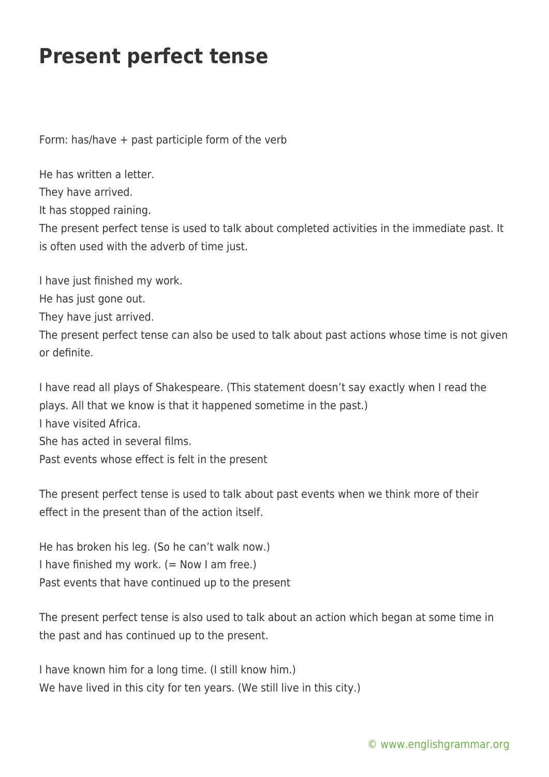## **Present perfect tense**

Form: has/have + past participle form of the verb

He has written a letter. They have arrived. It has stopped raining. The present perfect tense is used to talk about completed activities in the immediate past. It is often used with the adverb of time just.

I have just finished my work. He has just gone out. They have just arrived. The present perfect tense can also be used to talk about past actions whose time is not given or definite.

I have read all plays of Shakespeare. (This statement doesn't say exactly when I read the plays. All that we know is that it happened sometime in the past.) I have visited Africa. She has acted in several films. Past events whose effect is felt in the present

The present perfect tense is used to talk about past events when we think more of their effect in the present than of the action itself.

He has broken his leg. (So he can't walk now.) I have finished my work.  $(=$  Now I am free.) Past events that have continued up to the present

The present perfect tense is also used to talk about an action which began at some time in the past and has continued up to the present.

I have known him for a long time. (I still know him.) We have lived in this city for ten years. (We still live in this city.)